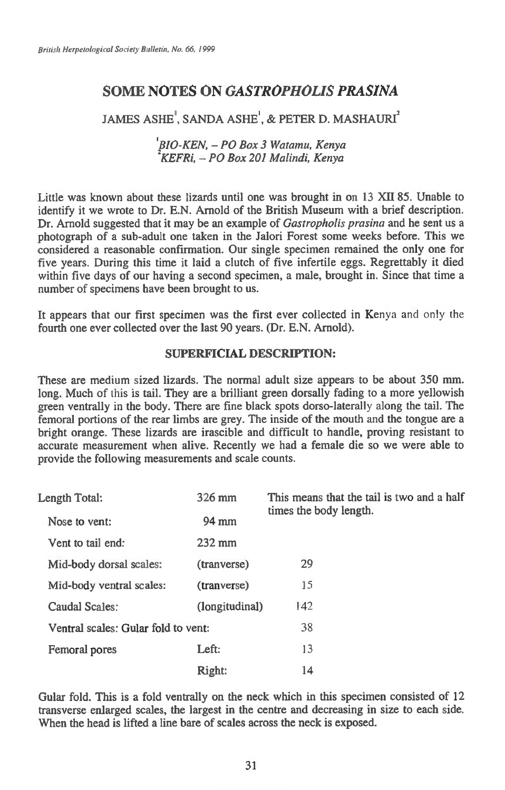# **SOME NOTES ON** *GASTROPHOLIS PRASINA*

# JAMES ASHE<sup>'</sup>, SANDA ASHE<sup>'</sup>, & PETER D. MASHAURI<sup>2</sup>

# *IBIO-KEN, — PO Box 3 Watamu, Kenya 2KEFRi, — PO Box 201 Malindi, Kenya*

Little was known about these lizards until one was brought in on 13 XII 85. Unable to identify it we wrote to Dr. E.N. Arnold of the British Museum with a brief description. Dr. Arnold suggested that it may be an example of *Gastropholis prasina* and he sent us a photograph of a sub-adult one taken in the Jalori Forest some weeks before. This we considered a reasonable confirmation. Our single specimen remained the only one for five years. During this time it laid a clutch of five infertile eggs. Regrettably it died within five days of our having a second specimen, a male, brought in. Since that time a number of specimens have been brought to us.

It appears that our first specimen was the first ever collected in Kenya and only the fourth one ever collected over the last 90 years. (Dr. E.N. Arnold).

## **SUPERFICIAL DESCRIPTION:**

These are medium sized lizards. The normal adult size appears to be about 350 mm. long. Much of this is tail. They are a brilliant green dorsally fading to a more yellowish green ventrally in the body. There are fine black spots dorso-laterally along the tail. The femoral portions of the rear limbs are grey. The inside of the mouth and the tongue are a bright orange. These lizards are irascible and difficult to handle, proving resistant to accurate measurement when alive. Recently we had a female die so we were able to provide the following measurements and scale counts.

| Length Total:                       | 326 mm           | This means that the tail is two and a half |
|-------------------------------------|------------------|--------------------------------------------|
| Nose to vent:                       | 94 mm            | times the body length.                     |
| Vent to tail end:                   | $232 \text{ mm}$ |                                            |
| Mid-body dorsal scales:             | (tranverse)      | 29                                         |
| Mid-body ventral scales:            | (tranverse)      | 15                                         |
| <b>Caudal Scales:</b>               | (longitudinal)   | 142                                        |
| Ventral scales: Gular fold to vent: |                  | 38                                         |
| Femoral pores                       | Left:            | 13                                         |
|                                     | Right:           | 14                                         |

Gular fold. This is a fold ventrally on the neck which in this specimen consisted of 12 transverse enlarged scales, the largest in the centre and decreasing in size to each side. When the head is lifted a line bare of scales across the neck is exposed.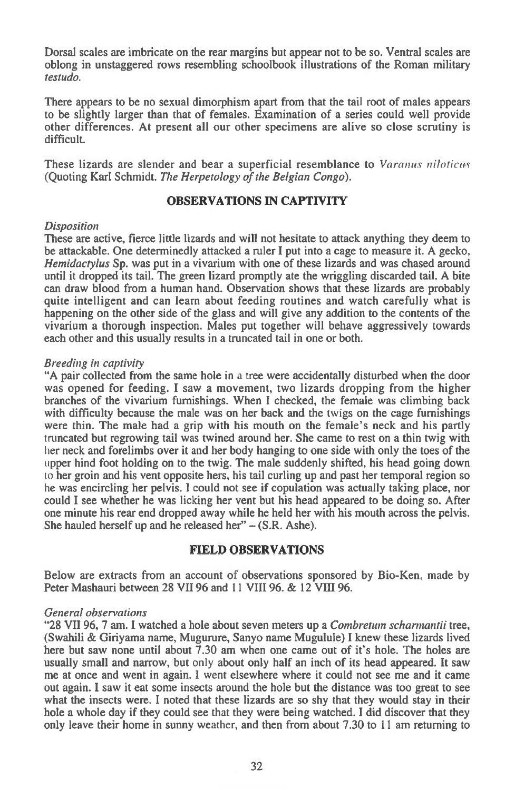Dorsal scales are imbricate on the rear margins but appear not to be so. Ventral scales are oblong in unstaggered rows resembling schoolbook illustrations of the Roman military *testudo.* 

There appears to be no sexual dimorphism apart from that the tail root of males appears to be slightly larger than that of females. Examination of a series could well provide other differences. At present all our other specimens are alive so close scrutiny is difficult.

These lizards are slender and bear a superficial resemblance to *Varanus niloticus*  (Quoting Karl Schmidt. *The Herpetology of the Belgian Congo).* 

## **OBSERVATIONS IN CAPTIVITY**

#### *Disposition*

These are active, fierce little lizards and will not hesitate to attack anything they deem to be attackable. One determinedly attacked a ruler I put into a cage to measure it. A gecko, *Hemidactylus* Sp. was put in a vivarium with one of these lizards and was chased around until it dropped its tail. The green lizard promptly ate the wriggling discarded tail. A bite can draw blood from a human hand. Observation shows that these lizards are probably quite intelligent and can learn about feeding routines and watch carefully what is happening on the other side of the glass and will give any addition to the contents of the vivarium a thorough inspection. Males put together will behave aggressively towards each other and this usually results in a truncated tail in one or both.

### *Breeding in captivity*

"A pair collected from the same hole in a tree were accidentally disturbed when the door was opened for feeding. I saw a movement, two lizards dropping from the higher branches of the vivarium furnishings. When I checked, *the* female was climbing back with difficulty because the male was on her back and the twigs on the cage furnishings were thin. The male had a grip with his mouth on the female's neck and his partly truncated but regrowing tail was twined around her. She came to rest on a thin twig with her neck and forelimbs over it and her body hanging to one side with only the toes of the upper hind foot holding on to the twig. The male suddenly shifted, his head going down to her groin and his vent opposite hers, his tail curling up and past her temporal region so he was encircling her pelvis. I could not see if copulation was actually taking place, nor could I see whether he was licking her vent but his head appeared to be doing so. After one minute his rear end dropped away while he held her with his mouth across the pelvis. She hauled herself up and he released her" — (S.R. Ashe).

#### **FIELD OBSERVATIONS**

Below are extracts from an account of observations sponsored by Bio-Ken, made by Peter Mashauri between 28 VII 96 and 11 VIII 96. & 12 VIII 96.

#### *General observations*

"28 VII 96, 7 am. I watched a hole about seven meters up a *Combretum schannarztii* tree, (Swahili & Giriyama name, Mugurure, Sanyo name Mugulule) I knew these lizards lived here but saw none until about 7.30 am when one came out of it's hole. The holes are usually small and narrow, but only about only half an inch of its head appeared. It saw me at once and went in again. I went elsewhere where it could not see me and it came out again. I saw it eat some insects around the hole but the distance was too great to see what the insects were. I noted that these lizards are so shy that they would stay in their hole a whole day if they could see that they were being watched. I did discover that they only leave their home in sunny weather, and then from about 7.30 to 11 am returning to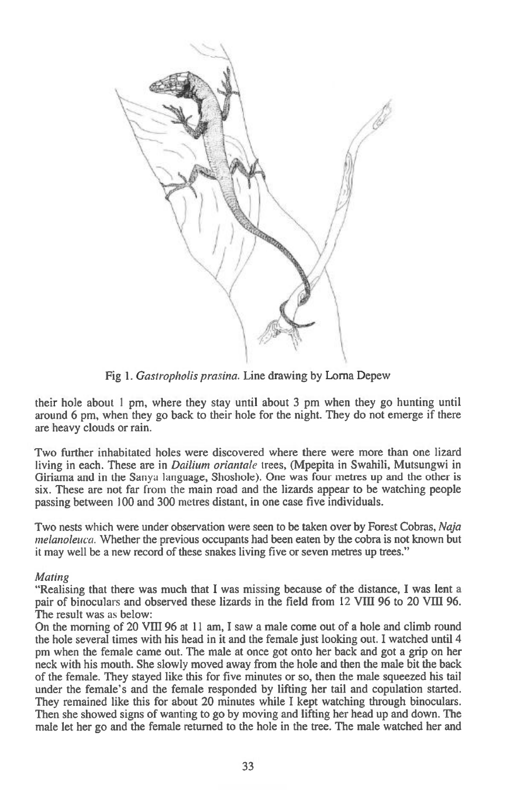

Fig 1. *Gastropholis prasina.* Line drawing by Lorna Depew

their hole about 1 pm, where they stay until about 3 pm when they go hunting until around 6 pm, when they go back to their hole for the night. They do not emerge if there are heavy clouds or rain.

Two further inhabitated holes were discovered where there were more than one lizard living in each. These are in *Dailium oriantale* trees, (Mpepita in Swahili, Mutsungwi in Giriama and in the Sanya language, Shoshole). One was four metres up and the other is six. These are not far from the main road and the lizards appear to be watching people passing between 100 and 300 metres distant, in one case five individuals.

Two nests which were under observation were seen to be taken over by Forest Cobras, *Naja melanoleuca.* Whether the previous occupants had been eaten by the cobra is not known but it may well be a new record of these snakes living five or seven metres up trees."

## *Mating*

"Realising that there was much that I was missing because of the distance, I was lent a pair of binoculars and observed these lizards in the field from 12 VIII 96 to 20 VIII 96. The result was as below:

On the morning of 20 VIII 96 at 11 am, I saw a male come out of a hole and climb round the hole several times with his head in it and the female just looking out. I watched until 4 pm when the female came out. The male at once got onto her back and got a grip on her neck with his mouth. She slowly moved away from the hole and then the male bit the back of the female. They stayed like this for five minutes or so, then the male squeezed his tail under the female's and the female responded by lifting her tail and copulation started. They remained like this for about 20 minutes while I kept watching through binoculars. Then she showed signs of wanting to go by moving and lifting her head up and down. The male let her go and the female returned to the hole in the tree. The male watched her and